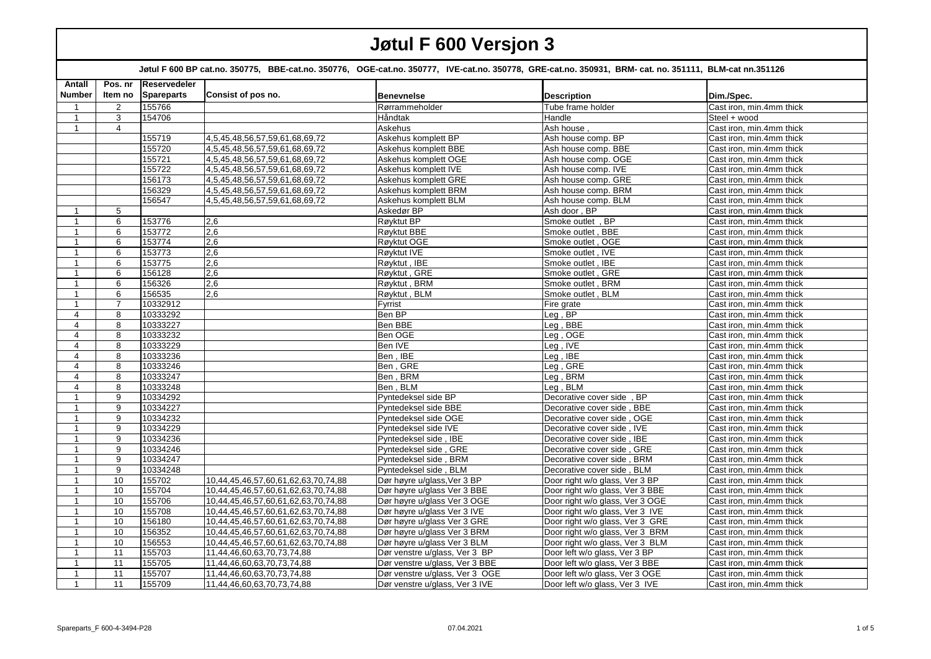|                                |                     |                            |                                                                  | <b>JØTUI F 600 VERSJON 3</b>   |                                                                                                                                                        |                          |
|--------------------------------|---------------------|----------------------------|------------------------------------------------------------------|--------------------------------|--------------------------------------------------------------------------------------------------------------------------------------------------------|--------------------------|
|                                |                     |                            |                                                                  |                                | Jøtul F 600 BP cat.no. 350775, BBE-cat.no. 350776, OGE-cat.no. 350777, IVE-cat.no. 350778, GRE-cat.no. 350931, BRM- cat. no. 351111, BLM-cat nn.351126 |                          |
| <b>Antall</b><br><b>Number</b> | Pos. nr<br>Item no  | Reservedeler<br>Spareparts | Consist of pos no.                                               | <b>Benevnelse</b>              | <b>Description</b>                                                                                                                                     | Dim./Spec.               |
|                                |                     | 155766                     |                                                                  | Rørrammeholder                 | Tube frame holder                                                                                                                                      | Cast iron, min.4mm thick |
|                                | 3                   | 154706                     |                                                                  | Håndtak                        | Handle                                                                                                                                                 | Steel + wood             |
|                                |                     |                            |                                                                  | Askehus                        | Ash house,                                                                                                                                             | Cast iron, min.4mm thick |
|                                |                     | 155719                     | 4,5,45,48,56,57,59,61,68,69,72                                   | Askehus komplett BP            | Ash house comp. BP                                                                                                                                     | Cast iron, min.4mm thick |
|                                |                     | 155720                     | 4,5,45,48,56,57,59,61,68,69,72                                   | <b>Askehus komplett BBE</b>    | Ash house comp. BBE                                                                                                                                    | Cast iron, min.4mm thick |
|                                |                     | 155721                     |                                                                  | Askehus komplett OGE           | Ash house comp. OGE                                                                                                                                    | Cast iron, min.4mm thick |
|                                |                     | 155722                     | 4,5,45,48,56,57,59,61,68,69,72<br>4,5,45,48,56,57,59,61,68,69,72 | Askehus komplett IVE           | Ash house comp. IVE                                                                                                                                    | Cast iron, min.4mm thick |
|                                |                     | 156173                     | 4,5,45,48,56,57,59,61,68,69,72                                   | Askehus komplett GRE           | Ash house comp. GRE                                                                                                                                    | Cast iron, min.4mm thick |
|                                |                     | 156329                     |                                                                  | Askehus komplett BRM           | Ash house comp. BRM                                                                                                                                    | Cast iron, min.4mm thick |
|                                |                     | 156547                     | 4,5,45,48,56,57,59,61,68,69,72                                   | Askehus komplett BLM           |                                                                                                                                                        | Cast iron, min.4mm thick |
|                                |                     |                            | 4,5,45,48,56,57,59,61,68,69,72                                   |                                | Ash house comp. BLM                                                                                                                                    |                          |
|                                | $\overline{5}$<br>6 | 153776                     |                                                                  | Askedør BP                     | Ash door, BP<br>Smoke outlet, BP                                                                                                                       | Cast iron, min.4mm thick |
|                                |                     |                            | $ 2,6\rangle$<br> 2,6                                            | Røyktut BP                     |                                                                                                                                                        | Cast iron, min.4mm thick |
|                                | 6<br>6              | 153772<br>153774           | 2,6                                                              | Røyktut BBE                    | Smoke outlet, BBE                                                                                                                                      | Cast iron, min.4mm thick |
|                                |                     |                            |                                                                  | Røyktut OGE                    | Smoke outlet, OGE                                                                                                                                      | Cast iron, min.4mm thick |
|                                | 6                   | 153773                     | 2,6                                                              | Røyktut IVE                    | Smoke outlet, IVE                                                                                                                                      | Cast iron, min.4mm thick |
|                                | 6                   | 153775                     | 2,6                                                              | Røyktut, IBE                   | Smoke outlet, IBE                                                                                                                                      | Cast iron, min.4mm thick |
|                                | 6                   | 156128                     | 2,6                                                              | Røyktut, GRE                   | <b>Smoke outlet, GRE</b>                                                                                                                               | Cast iron, min.4mm thick |
|                                | $6\phantom{1}$      | 156326                     | 2,6                                                              | Røyktut, BRM                   | Smoke outlet, BRM                                                                                                                                      | Cast iron, min.4mm thick |
|                                | 6                   | 156535                     | 2,6                                                              | Røyktut, BLM                   | Smoke outlet, BLM                                                                                                                                      | Cast iron, min.4mm thick |
|                                |                     | 10332912                   |                                                                  | Fyrrist                        | Fire grate                                                                                                                                             | Cast iron, min.4mm thick |
|                                | 8                   | 10333292                   |                                                                  | Ben BP                         | Leg, BP                                                                                                                                                | Cast iron, min.4mm thick |
|                                | 8                   | 10333227                   |                                                                  | <b>Ben BBE</b>                 | Leg, BBE                                                                                                                                               | Cast iron, min.4mm thick |
|                                | 8                   | 10333232                   |                                                                  | Ben OGE                        | Leg, OGE                                                                                                                                               | Cast iron, min.4mm thick |
|                                | 8                   | 10333229                   |                                                                  | Ben IVE                        | Leg,IVE                                                                                                                                                | Cast iron, min.4mm thick |
|                                | 8                   | 10333236                   |                                                                  | Ben, IBE                       | Leg, IBE                                                                                                                                               | Cast iron, min.4mm thick |
|                                | 8                   | 10333246                   |                                                                  | Ben, GRE                       | $Leg$ , GRE                                                                                                                                            | Cast iron, min.4mm thick |
|                                | 8                   | 10333247                   |                                                                  | Ben, BRM                       | Leg, BRM                                                                                                                                               | Cast iron, min.4mm thick |
|                                | 8                   | 10333248                   |                                                                  | Ben, BLM                       | Leg, BLM                                                                                                                                               | Cast iron, min.4mm thick |
|                                | 9                   | 10334292                   |                                                                  | Pyntedeksel side BP            | Decorative cover side, BP                                                                                                                              | Cast iron, min.4mm thick |
|                                | 9                   | 10334227                   |                                                                  | Pyntedeksel side BBE           | Decorative cover side, BBE                                                                                                                             | Cast iron, min.4mm thick |
|                                | 9                   | 10334232                   |                                                                  | Pyntedeksel side OGE           | Decorative cover side, OGE                                                                                                                             | Cast iron, min.4mm thick |
|                                | 9                   | 10334229                   |                                                                  | Pyntedeksel side IVE           | Decorative cover side, IVE                                                                                                                             | Cast iron, min.4mm thick |
|                                | 9                   | 10334236                   |                                                                  | Pyntedeksel side, IBE          | Decorative cover side, IBE                                                                                                                             | Cast iron, min.4mm thick |
|                                | 9                   | 10334246                   |                                                                  | Pyntedeksel side, GRE          | Decorative cover side, GRE                                                                                                                             | Cast iron, min.4mm thick |
|                                | 9                   | 10334247                   |                                                                  | Pyntedeksel side, BRM          | Decorative cover side, BRM                                                                                                                             | Cast iron, min.4mm thick |
|                                | 9                   | 10334248                   |                                                                  | Pyntedeksel side, BLM          | Decorative cover side, BLM                                                                                                                             | Cast iron, min.4mm thick |
|                                | 10                  | 155702                     | 10,44,45,46,57,60,61,62,63,70,74,88                              | Dør høyre u/glass, Ver 3 BP    | Door right w/o glass, Ver 3 BP                                                                                                                         | Cast iron, min.4mm thick |
|                                | 10                  | 155704                     | 10,44,45,46,57,60,61,62,63,70,74,88                              | Dør høyre u/glass Ver 3 BBE    | Door right w/o glass, Ver 3 BBE                                                                                                                        | Cast iron, min.4mm thick |
|                                | 10                  | 155706                     | 10,44,45,46,57,60,61,62,63,70,74,88                              | Dør høyre u/glass Ver 3 OGE    | Door right w/o glass, Ver 3 OGE                                                                                                                        | Cast iron, min.4mm thick |
|                                | 10                  | 155708                     | 10,44,45,46,57,60,61,62,63,70,74,88                              | Dør høyre u/glass Ver 3 IVE    | Door right w/o glass, Ver 3 IVE                                                                                                                        | Cast iron, min.4mm thick |
|                                | 10                  | 156180                     | 10,44,45,46,57,60,61,62,63,70,74,88                              | Dør høyre u/glass Ver 3 GRE    | Door right w/o glass, Ver 3 GRE                                                                                                                        | Cast iron, min.4mm thick |
|                                | 10                  | 156352                     | 10,44,45,46,57,60,61,62,63,70,74,88                              | Dør høyre u/glass Ver 3 BRM    | Door right w/o glass, Ver 3 BRM                                                                                                                        | Cast iron, min.4mm thick |
|                                | 10                  | 156553                     | 10,44,45,46,57,60,61,62,63,70,74,88                              | Dør høyre u/glass Ver 3 BLM    | Door right w/o glass, Ver 3 BLM                                                                                                                        | Cast iron, min.4mm thick |
|                                | 11                  | 155703                     | 11,44,46,60,63,70,73,74,88                                       | Dør venstre u/glass, Ver 3 BP  | Door left w/o glass, Ver 3 BP                                                                                                                          | Cast iron, min.4mm thick |
|                                | 11                  | 155705                     | 11,44,46,60,63,70,73,74,88                                       | Dør venstre u/glass, Ver 3 BBE | Door left w/o glass, Ver 3 BBE                                                                                                                         | Cast iron, min.4mm thick |
|                                | 11                  | 155707                     | 11,44,46,60,63,70,73,74,88                                       | Dør venstre u/glass, Ver 3 OGE | Door left w/o glass, Ver 3 OGE                                                                                                                         | Cast iron, min.4mm thick |
|                                | 11                  | 155709                     | 11,44,46,60,63,70,73,74,88                                       | Dør venstre u/glass, Ver 3 IVE | Door left w/o glass, Ver 3 IVE                                                                                                                         | Cast iron, min.4mm thick |

| <b>JØTUI F 600 VERSJON 3</b> |                                     |                                                                                                                                                        |                                 |                          |  |  |
|------------------------------|-------------------------------------|--------------------------------------------------------------------------------------------------------------------------------------------------------|---------------------------------|--------------------------|--|--|
| <b>Reservedeler</b>          |                                     | Jøtul F 600 BP cat.no. 350775, BBE-cat.no. 350776, OGE-cat.no. 350777, IVE-cat.no. 350778, GRE-cat.no. 350931, BRM- cat. no. 351111, BLM-cat nn.351126 |                                 |                          |  |  |
| <b>Spareparts</b>            | Consist of pos no.                  | <b>Benevnelse</b>                                                                                                                                      | <b>Description</b>              | Dim./Spec.               |  |  |
| 155766                       |                                     | Rørrammeholder                                                                                                                                         | Tube frame holder               | Cast iron, min.4mm thick |  |  |
| 154706                       |                                     | <b>Håndtak</b>                                                                                                                                         | Handle                          | Steel + wood             |  |  |
|                              |                                     | Askehus                                                                                                                                                | Ash house,                      | Cast iron, min.4mm thick |  |  |
| 155719                       | 4,5,45,48,56,57,59,61,68,69,72      | Askehus komplett BP                                                                                                                                    | Ash house comp. BP              | Cast iron, min.4mm thick |  |  |
| 155720                       | 4,5,45,48,56,57,59,61,68,69,72      | Askehus komplett BBE                                                                                                                                   | Ash house comp. BBE             | Cast iron, min.4mm thick |  |  |
| 155721                       | 4,5,45,48,56,57,59,61,68,69,72      | Askehus komplett OGE                                                                                                                                   | Ash house comp. OGE             | Cast iron, min.4mm thick |  |  |
| 155722                       | 4,5,45,48,56,57,59,61,68,69,72      | Askehus komplett IVE                                                                                                                                   | Ash house comp. IVE             | Cast iron, min.4mm thick |  |  |
| 156173                       | 4,5,45,48,56,57,59,61,68,69,72      | Askehus komplett GRE                                                                                                                                   | Ash house comp. GRE             | Cast iron, min.4mm thick |  |  |
| 156329                       | 4,5,45,48,56,57,59,61,68,69,72      | Askehus komplett BRM                                                                                                                                   | Ash house comp. BRM             | Cast iron, min.4mm thick |  |  |
| 156547                       | 4,5,45,48,56,57,59,61,68,69,72      | Askehus komplett BLM                                                                                                                                   | Ash house comp. BLM             | Cast iron, min.4mm thick |  |  |
|                              |                                     | Askedør BP                                                                                                                                             | Ash door, BP                    | Cast iron, min.4mm thick |  |  |
| 153776                       | 2,6                                 | Røyktut BP                                                                                                                                             | Smoke outlet, BP                | Cast iron, min.4mm thick |  |  |
| 153772                       | 2,6                                 | Røyktut BBE                                                                                                                                            | Smoke outlet, BBE               | Cast iron, min.4mm thick |  |  |
| 153774                       | 2,6                                 | Røyktut OGE                                                                                                                                            | Smoke outlet, OGE               | Cast iron, min.4mm thick |  |  |
| 153773                       | 2,6                                 | Røyktut IVE                                                                                                                                            | Smoke outlet, IVE               | Cast iron, min.4mm thick |  |  |
| 153775                       | 2,6                                 | Røyktut, IBE                                                                                                                                           | Smoke outlet, IBE               | Cast iron, min.4mm thick |  |  |
| 156128                       | 2,6                                 | Røyktut, GRE                                                                                                                                           | Smoke outlet, GRE               | Cast iron, min.4mm thick |  |  |
| 156326                       | 2,6                                 | Røyktut, BRM                                                                                                                                           | Smoke outlet, BRM               | Cast iron, min.4mm thick |  |  |
| 156535                       | 2,6                                 | Røyktut, BLM                                                                                                                                           | Smoke outlet, BLM               | Cast iron, min.4mm thick |  |  |
| 10332912                     |                                     | <b>Fyrrist</b>                                                                                                                                         | Fire grate                      | Cast iron, min.4mm thick |  |  |
| 10333292                     |                                     | Ben BP                                                                                                                                                 | $Leg$ , BP                      | Cast iron, min.4mm thick |  |  |
| 10333227                     |                                     | <b>Ben BBE</b>                                                                                                                                         | Leg, BBE                        | Cast iron, min.4mm thick |  |  |
| 10333232                     |                                     | <b>Ben OGE</b>                                                                                                                                         | Leg, OGE                        | Cast iron, min.4mm thick |  |  |
| 10333229                     |                                     | Ben IVE                                                                                                                                                | Leg, IVE                        | Cast iron, min.4mm thick |  |  |
| 10333236                     |                                     | Ben, IBE                                                                                                                                               | Leg, IBE                        | Cast iron, min.4mm thick |  |  |
| 10333246                     |                                     | Ben, GRE                                                                                                                                               | Leg, GRE                        | Cast iron, min.4mm thick |  |  |
| 10333247                     |                                     | Ben, BRM                                                                                                                                               | Leg, BRM                        | Cast iron, min.4mm thick |  |  |
| 10333248                     |                                     | Ben, BLM                                                                                                                                               | Leg, BLM                        | Cast iron, min.4mm thick |  |  |
| 10334292                     |                                     | Pyntedeksel side BP                                                                                                                                    | Decorative cover side, BP       | Cast iron, min.4mm thick |  |  |
| 10334227                     |                                     | Pyntedeksel side BBE                                                                                                                                   | Decorative cover side, BBE      | Cast iron, min.4mm thick |  |  |
| 10334232                     |                                     | Pyntedeksel side OGE                                                                                                                                   | Decorative cover side, OGE      | Cast iron, min.4mm thick |  |  |
| 10334229                     |                                     | Pyntedeksel side IVE                                                                                                                                   | Decorative cover side, IVE      | Cast iron, min.4mm thick |  |  |
| 10334236                     |                                     | Pyntedeksel side, IBE                                                                                                                                  | Decorative cover side, IBE      | Cast iron, min.4mm thick |  |  |
| 10334246                     |                                     | Pyntedeksel side, GRE                                                                                                                                  | Decorative cover side, GRE      | Cast iron, min.4mm thick |  |  |
| 10334247                     |                                     | Pyntedeksel side, BRM                                                                                                                                  | Decorative cover side, BRM      | Cast iron, min.4mm thick |  |  |
| 10334248                     |                                     | Pyntedeksel side, BLM                                                                                                                                  | Decorative cover side, BLM      | Cast iron, min.4mm thick |  |  |
| 155702                       | 10,44,45,46,57,60,61,62,63,70,74,88 | Dør høyre u/glass, Ver 3 BP                                                                                                                            | Door right w/o glass, Ver 3 BP  | Cast iron, min.4mm thick |  |  |
| 155704                       | 10,44,45,46,57,60,61,62,63,70,74,88 | Dør høyre u/glass Ver 3 BBE                                                                                                                            | Door right w/o glass, Ver 3 BBE | Cast iron, min.4mm thick |  |  |
| 155706                       | 10,44,45,46,57,60,61,62,63,70,74,88 | Dør høyre u/glass Ver 3 OGE                                                                                                                            | Door right w/o glass, Ver 3 OGE | Cast iron, min.4mm thick |  |  |
| 155708                       | 10,44,45,46,57,60,61,62,63,70,74,88 | Dør høyre u/glass Ver 3 IVE                                                                                                                            | Door right w/o glass, Ver 3 IVE | Cast iron, min.4mm thick |  |  |
| 156180                       | 10,44,45,46,57,60,61,62,63,70,74,88 | Dør høyre u/glass Ver 3 GRE                                                                                                                            | Door right w/o glass, Ver 3 GRE | Cast iron, min.4mm thick |  |  |
| 156352                       | 10,44,45,46,57,60,61,62,63,70,74,88 | Dør høyre u/glass Ver 3 BRM                                                                                                                            | Door right w/o glass, Ver 3 BRM | Cast iron, min.4mm thick |  |  |
| 156553                       | 10,44,45,46,57,60,61,62,63,70,74,88 | Dør høyre u/glass Ver 3 BLM                                                                                                                            | Door right w/o glass, Ver 3 BLM | Cast iron, min.4mm thick |  |  |
| 155703                       | 11,44,46,60,63,70,73,74,88          | Dør venstre u/glass, Ver 3 BP                                                                                                                          | Door left w/o glass, Ver 3 BP   | Cast iron, min.4mm thick |  |  |
| 155705                       | 11,44,46,60,63,70,73,74,88          | Dør venstre u/glass, Ver 3 BBE                                                                                                                         | Door left w/o glass, Ver 3 BBE  | Cast iron, min.4mm thick |  |  |
| 155707                       | 11,44,46,60,63,70,73,74,88          | Dør venstre u/glass, Ver 3 OGE                                                                                                                         | Door left w/o glass, Ver 3 OGE  | Cast iron, min.4mm thick |  |  |
| 155709                       | 11,44,46,60,63,70,73,74,88          | Dør venstre u/glass, Ver 3 IVE                                                                                                                         | Door left w/o glass, Ver 3 IVE  | Cast iron, min.4mm thick |  |  |
|                              |                                     |                                                                                                                                                        |                                 |                          |  |  |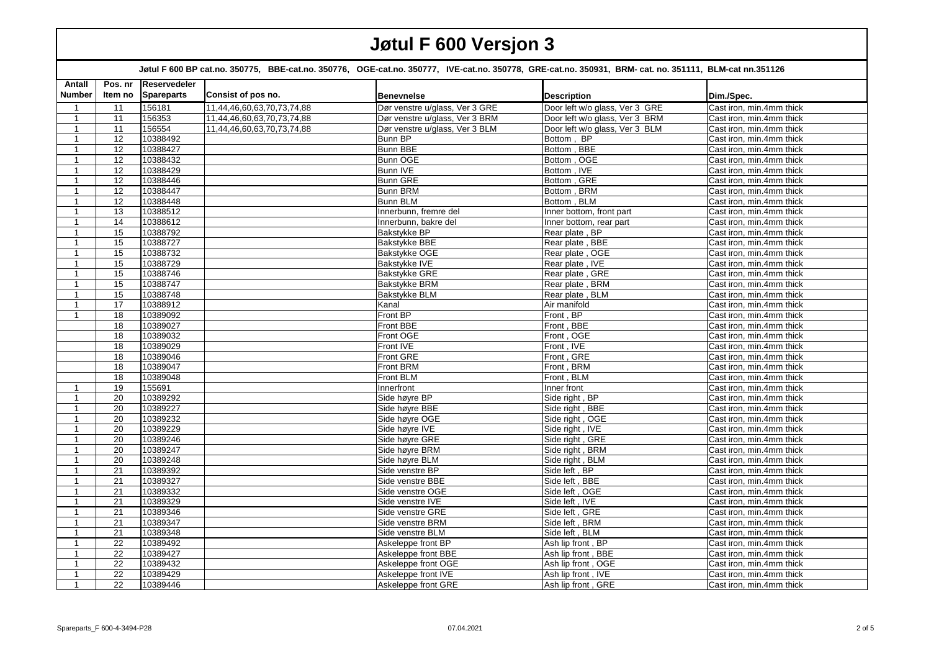|                         |                                                                                                                                                        |                            |                            | Jøtul F 600 Versjon 3          |                                |                          |  |  |  |
|-------------------------|--------------------------------------------------------------------------------------------------------------------------------------------------------|----------------------------|----------------------------|--------------------------------|--------------------------------|--------------------------|--|--|--|
|                         | Jøtul F 600 BP cat.no. 350775, BBE-cat.no. 350776, OGE-cat.no. 350777, IVE-cat.no. 350778, GRE-cat.no. 350931, BRM- cat. no. 351111, BLM-cat nn.351126 |                            |                            |                                |                                |                          |  |  |  |
| Antall<br><b>Number</b> | Pos. nr<br>Item no                                                                                                                                     | Reservedeler<br>Spareparts | Consist of pos no.         | Benevnelse                     | <b>Description</b>             | Dim./Spec.               |  |  |  |
|                         | 11                                                                                                                                                     | 156181                     | 11,44,46,60,63,70,73,74,88 | Dør venstre u/glass, Ver 3 GRE | Door left w/o glass, Ver 3 GRE | Cast iron, min.4mm thick |  |  |  |
|                         | 11                                                                                                                                                     | 156353                     | 11,44,46,60,63,70,73,74,88 | Dør venstre u/glass, Ver 3 BRM | Door left w/o glass, Ver 3 BRM | Cast iron, min.4mm thick |  |  |  |
|                         | 11                                                                                                                                                     | 156554                     | 11,44,46,60,63,70,73,74,88 | Dør venstre u/glass, Ver 3 BLM | Door left w/o glass, Ver 3 BLM | Cast iron, min.4mm thick |  |  |  |
|                         | 12                                                                                                                                                     | 10388492                   |                            | <b>Bunn BP</b>                 | Bottom, BP                     | Cast iron, min.4mm thick |  |  |  |
|                         | 12                                                                                                                                                     | 10388427                   |                            | Bunn BBE                       | Bottom, BBE                    | Cast iron, min.4mm thick |  |  |  |
|                         | 12                                                                                                                                                     | 10388432                   |                            | <b>Bunn OGE</b>                | Bottom, OGE                    | Cast iron, min.4mm thick |  |  |  |
|                         | 12                                                                                                                                                     | 10388429                   |                            | <b>Bunn IVE</b>                | Bottom, IVE                    | Cast iron, min.4mm thick |  |  |  |
|                         | 12                                                                                                                                                     | 10388446                   |                            | <b>Bunn GRE</b>                | Bottom, GRE                    | Cast iron, min.4mm thick |  |  |  |
|                         | 12                                                                                                                                                     | 10388447                   |                            | <b>Bunn BRM</b>                | Bottom, BRM                    | Cast iron, min.4mm thick |  |  |  |
|                         | 12                                                                                                                                                     | 10388448                   |                            | <b>Bunn BLM</b>                | Bottom, BLM                    | Cast iron, min.4mm thick |  |  |  |
|                         | 13                                                                                                                                                     | 10388512                   |                            | Innerbunn, fremre del          | Inner bottom, front part       | Cast iron, min.4mm thick |  |  |  |
|                         | 14                                                                                                                                                     | 10388612                   |                            | Innerbunn, bakre del           | Inner bottom, rear part        | Cast iron, min.4mm thick |  |  |  |
|                         | 15                                                                                                                                                     | 10388792                   |                            | <b>Bakstykke BP</b>            | Rear plate, BP                 | Cast iron, min.4mm thick |  |  |  |
|                         | 15                                                                                                                                                     | 10388727                   |                            | <b>Bakstykke BBE</b>           | Rear plate, BBE                | Cast iron, min.4mm thick |  |  |  |
|                         | 15                                                                                                                                                     | 10388732                   |                            | <b>Bakstykke OGE</b>           | Rear plate, OGE                | Cast iron, min.4mm thick |  |  |  |
|                         | 15                                                                                                                                                     | 10388729                   |                            | <b>Bakstykke IVE</b>           | Rear plate, IVE                | Cast iron, min.4mm thick |  |  |  |
|                         | 15                                                                                                                                                     | 10388746                   |                            | <b>Bakstykke GRE</b>           | Rear plate, GRE                | Cast iron, min.4mm thick |  |  |  |
|                         | 15                                                                                                                                                     | 10388747                   |                            | <b>Bakstykke BRM</b>           | Rear plate, BRM                | Cast iron, min.4mm thick |  |  |  |
|                         | 15                                                                                                                                                     | 10388748                   |                            | <b>Bakstykke BLM</b>           | Rear plate, BLM                | Cast iron, min.4mm thick |  |  |  |
|                         | 17                                                                                                                                                     | 10388912                   |                            | Kanal                          | Air manifold                   | Cast iron, min.4mm thick |  |  |  |
|                         | 18                                                                                                                                                     | 10389092                   |                            | Front BP                       | Front, BP                      | Cast iron, min.4mm thick |  |  |  |
|                         | 18                                                                                                                                                     | 10389027                   |                            | <b>Front BBE</b>               | Front, BBE                     | Cast iron, min.4mm thick |  |  |  |
|                         | 18                                                                                                                                                     | 10389032                   |                            | Front OGE                      | Front, OGE                     | Cast iron, min.4mm thick |  |  |  |
|                         | 18                                                                                                                                                     | 10389029                   |                            | Front IVE                      | Front, IVE                     | Cast iron, min.4mm thick |  |  |  |
|                         | 18                                                                                                                                                     | 10389046                   |                            | <b>Front GRE</b>               | Front, GRE                     | Cast iron, min.4mm thick |  |  |  |
|                         | 18                                                                                                                                                     | 10389047                   |                            | Front BRM                      | Front, BRM                     | Cast iron, min.4mm thick |  |  |  |
|                         | 18                                                                                                                                                     | 10389048                   |                            | Front BLM                      | Front, BLM                     | Cast iron, min.4mm thick |  |  |  |
|                         | 19                                                                                                                                                     | 155691                     |                            | Innerfront                     | Inner front                    | Cast iron, min.4mm thick |  |  |  |
|                         | 20                                                                                                                                                     | 10389292                   |                            | Side høyre BP                  | Side right, BP                 | Cast iron, min.4mm thick |  |  |  |
|                         | 20                                                                                                                                                     | 10389227                   |                            | Side høyre BBE                 | Side right, BBE                | Cast iron, min.4mm thick |  |  |  |
|                         | 20                                                                                                                                                     | 10389232                   |                            | Side høyre OGE                 | Side right, OGE                | Cast iron, min.4mm thick |  |  |  |
|                         | 20                                                                                                                                                     | 10389229                   |                            | Side høyre IVE                 | Side right, IVE                | Cast iron, min.4mm thick |  |  |  |
|                         | 20                                                                                                                                                     | 10389246                   |                            | Side høyre GRE                 | Side right, GRE                | Cast iron, min.4mm thick |  |  |  |
|                         | 20                                                                                                                                                     | 10389247                   |                            | Side høyre BRM                 | Side right, BRM                | Cast iron, min.4mm thick |  |  |  |
|                         | 20                                                                                                                                                     | 10389248                   |                            | Side høyre BLM                 | Side right, BLM                | Cast iron, min.4mm thick |  |  |  |
|                         | 21                                                                                                                                                     | 10389392                   |                            | Side venstre BP                | Side left, BP                  | Cast iron, min.4mm thick |  |  |  |
|                         | 21                                                                                                                                                     | 10389327                   |                            | Side venstre BBE               | Side left, BBE                 | Cast iron, min.4mm thick |  |  |  |
|                         | 21                                                                                                                                                     | 10389332                   |                            | Side venstre OGE               | Side left, OGE                 | Cast iron, min.4mm thick |  |  |  |
|                         | 21                                                                                                                                                     | 10389329                   |                            | Side venstre IVE               | Side left, IVE                 | Cast iron, min.4mm thick |  |  |  |
|                         | 21                                                                                                                                                     | 10389346                   |                            | Side venstre GRE               | Side left, GRE                 | Cast iron, min.4mm thick |  |  |  |
|                         | 21                                                                                                                                                     | 10389347                   |                            | Side venstre BRM               | Side left, BRM                 | Cast iron, min.4mm thick |  |  |  |
|                         | 21                                                                                                                                                     | 10389348                   |                            | Side venstre BLM               | Side left, BLM                 | Cast iron, min.4mm thick |  |  |  |
|                         | 22                                                                                                                                                     | 10389492                   |                            | Askeleppe front BP             | Ash lip front, BP              | Cast iron, min.4mm thick |  |  |  |
|                         | 22                                                                                                                                                     | 10389427                   |                            | Askeleppe front BBE            | Ash lip front, BBE             | Cast iron, min.4mm thick |  |  |  |
|                         | 22                                                                                                                                                     | 10389432                   |                            | Askeleppe front OGE            | Ash lip front, OGE             | Cast iron, min.4mm thick |  |  |  |
|                         | 22                                                                                                                                                     | 10389429                   |                            | Askeleppe front IVE            | Ash lip front, IVE             | Cast iron, min.4mm thick |  |  |  |
|                         | 22                                                                                                                                                     | 10389446                   |                            | Askeleppe front GRE            | Ash lip front, GRE             | Cast iron, min.4mm thick |  |  |  |
|                         |                                                                                                                                                        |                            |                            |                                |                                |                          |  |  |  |

| 20 | 10389246 | Side høyre GRE          | Side right, GRE    |
|----|----------|-------------------------|--------------------|
| 20 | 10389247 | Side høyre BRM          | Side right, BRM    |
| 20 | 10389248 | Side høyre BLM          | Side right, BLM    |
| 21 | 10389392 | Side venstre BP         | Side left, BP      |
| 21 | 10389327 | Side venstre BBE        | Side left, BBE     |
| 21 | 10389332 | Side venstre OGE        | Side left, OGE     |
| 21 | 10389329 | Side venstre IVE        | Side left, IVE     |
| 21 | 10389346 | Side venstre GRE        | Side left, GRE     |
| 21 | 10389347 | <b>Side venstre BRM</b> | Side left, BRM     |
| 21 | 10389348 | Side venstre BLM        | Side left, BLM     |
| 22 | 10389492 | Askeleppe front BP      | Ash lip front, BP  |
| 22 | 10389427 | Askeleppe front BBE     | Ash lip front, BBE |
| 22 | 10389432 | Askeleppe front OGE     | Ash lip front, OGE |
| 22 | 10389429 | Askeleppe front IVE     | Ash lip front, IVE |
| 22 | 10389446 | Askeleppe front GRE     | Ash lip front, GRE |
|    |          |                         |                    |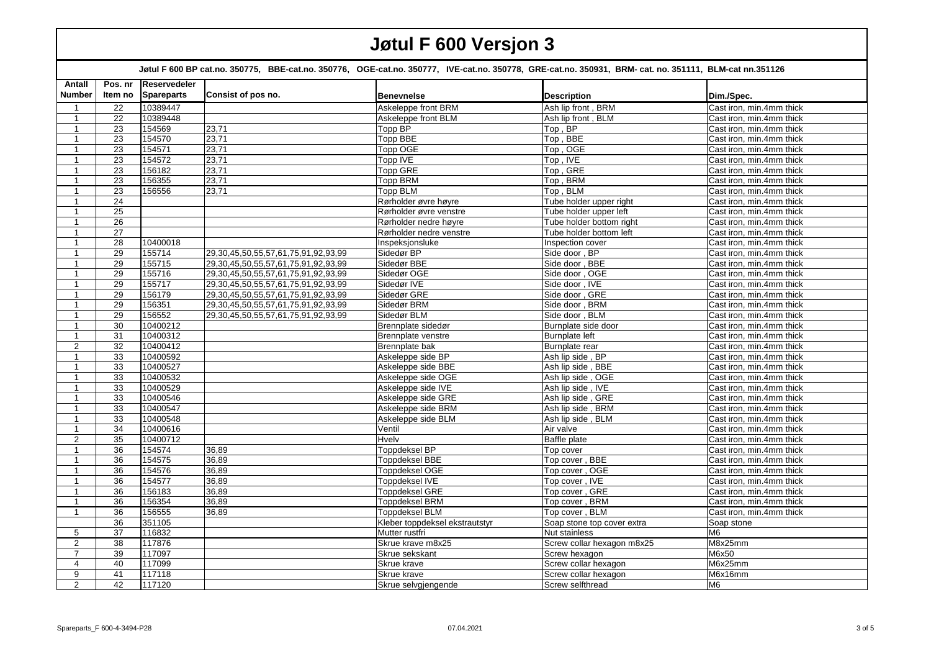| Jøtul F 600 BP cat.no. 350775, BBE-cat.no. 350776, OGE-cat.no. 350777, IVE-cat.no. 350778, GRE-cat.no. 350931, BRM- |  |  |  |
|---------------------------------------------------------------------------------------------------------------------|--|--|--|
|                                                                                                                     |  |  |  |

| Jøtul F 600 BP cat.no. 350775, BBE-cat.no. 350776, OGE-cat.no. 350777, IVE-cat.no. 350778, GRE-cat.no. 350931, BRM- cat. no. 351111, BLM-cat nn.351126<br>Reservedeler<br><b>Antall</b><br>Pos. nr<br>Consist of pos no.<br><b>Number</b><br>Spareparts<br>Item no<br>Dim./Spec.<br><b>Benevnelse</b><br><b>Description</b><br>Ash lip front, BRM<br>10389447<br>Askeleppe front BRM<br>Cast iron, min.4mm thick<br>22<br>22<br>10389448<br>Askeleppe front BLM<br>Ash lip front, BLM<br>Cast iron, min.4mm thick<br>23<br>154569<br>23,71<br>Topp BP<br>$Top$ , $BP$<br>Cast iron, min.4mm thick<br>23,71<br>23<br>154570<br>Topp BBE<br>Top , BBE<br>Cast iron, min.4mm thick<br>23,71<br>23<br>Topp OGE<br>Top, OGE<br>154571<br>Cast iron, min.4mm thick<br>23,71<br>23<br>154572<br>Topp IVE<br>Top , IVE<br>Cast iron, min.4mm thick<br>23,71<br>23<br>Top, GRE<br>156182<br><b>Topp GRE</b><br>Cast iron, min.4mm thick<br>23<br>23,71<br>156355<br>Topp BRM<br>Top, BRM<br>Cast iron, min.4mm thick<br>23<br>23,71<br>156556<br>Topp BLM<br>Top , BLM<br>Cast iron, min.4mm thick<br>24<br>Rørholder øvre høyre<br>Tube holder upper right<br>Cast iron, min.4mm thick<br>25<br>Rørholder øvre venstre<br>Tube holder upper left<br>Cast iron, min.4mm thick<br>26<br>Rørholder nedre høyre<br>Tube holder bottom right<br>Cast iron, min.4mm thick<br>27<br>Rørholder nedre venstre<br>Tube holder bottom left<br>Cast iron, min.4mm thick<br>28<br>10400018<br>Cast iron, min.4mm thick<br>Inspeksjonsluke<br>Inspection cover<br>29<br>Sidedør BP<br>155714<br>29,30,45,50,55,57,61,75,91,92,93,99<br>Side door, BP<br>Cast iron, min.4mm thick<br>29<br>155715<br>29, 30, 45, 50, 55, 57, 61, 75, 91, 92, 93, 99<br>Sidedør BBE<br>Side door, BBE<br>Cast iron, min.4mm thick<br>29<br>155716<br>29,30,45,50,55,57,61,75,91,92,93,99<br>Sidedør OGE<br>Side door, OGE<br>Cast iron, min.4mm thick<br>29<br>155717<br>Sidedør IVE<br>29,30,45,50,55,57,61,75,91,92,93,99<br>Side door, IVE<br>Cast iron, min.4mm thick<br>29<br>156179<br>Sidedør GRE<br>Side door, GRE<br>29,30,45,50,55,57,61,75,91,92,93,99<br>Cast iron, min.4mm thick<br>29<br>156351<br>29,30,45,50,55,57,61,75,91,92,93,99<br>Sidedør BRM<br>Side door, BRM<br>Cast iron, min.4mm thick<br>29<br>156552<br>Sidedør BLM<br>29,30,45,50,55,57,61,75,91,92,93,99<br>Side door, BLM<br>Cast iron, min.4mm thick<br>30<br>10400212<br>Brennplate sidedør<br>Burnplate side door<br>Cast iron, min.4mm thick<br>31<br>10400312<br><b>Burnplate left</b><br>Cast iron, min.4mm thick<br><b>Brennplate venstre</b><br>32<br>10400412<br>Cast iron, min.4mm thick<br><b>Brennplate bak</b><br><b>Burnplate rear</b><br>33<br>10400592<br>Askeleppe side BP<br>Ash lip side, BP<br>Cast iron, min.4mm thick<br>33<br>10400527<br>Askeleppe side BBE<br>Ash lip side, BBE<br>Cast iron, min.4mm thick<br>33<br>10400532<br>Askeleppe side OGE<br>Ash lip side, OGE<br>Cast iron, min.4mm thick<br>33<br>10400529<br>Askeleppe side IVE<br>Ash lip side, IVE<br>Cast iron, min.4mm thick<br>33<br>Ash lip side, GRE<br>10400546<br>Askeleppe side GRE<br>Cast iron, min.4mm thick<br>33<br>Askeleppe side BRM<br>10400547<br>Ash lip side, BRM<br>Cast iron, min.4mm thick<br>33<br>10400548<br>Askeleppe side BLM<br>Ash lip side, BLM<br>Cast iron, min.4mm thick<br>34<br>10400616<br>Air valve<br>Ventil<br>Cast iron, min.4mm thick<br>35<br><b>Hvelv</b><br><b>Baffle plate</b><br>10400712<br>Cast iron, min.4mm thick<br>36<br>154574<br>36,89<br>Toppdeksel BP<br>Cast iron, min.4mm thick<br>Top cover<br>36,89<br>Top cover, BBE<br>36<br>154575<br>Toppdeksel BBE<br>Cast iron, min.4mm thick<br>36,89<br>36<br>154576<br><b>Toppdeksel OGE</b><br>Top cover , OGE<br>Cast iron, min.4mm thick<br>36<br>36,89<br>154577<br>Toppdeksel IVE<br>Top cover , IVE<br>Cast iron, min.4mm thick<br>36<br>36,89<br>156183<br><b>Toppdeksel GRE</b><br>Top cover, GRE<br>Cast iron, min.4mm thick<br>36,89<br>36<br>156354<br>Toppdeksel BRM<br>Top cover, BRM<br>Cast iron, min.4mm thick<br>36<br>36,89<br>156555<br><b>Toppdeksel BLM</b><br>Top cover, BLM<br>Cast iron, min.4mm thick<br>36<br>351105<br>Kleber toppdeksel ekstrautstyr<br>Soap stone<br>Soap stone top cover extra<br>37<br>M <sub>6</sub><br>116832<br>Mutter rustfri<br><b>Nut stainless</b><br>5<br>117876<br>38<br>M8x25mm<br>Skrue krave m8x25<br>Screw collar hexagon m8x25<br>M6x50<br>39<br>117097<br>Skrue sekskant<br>Screw hexagon<br>117099<br>M6x25mm<br>40<br><b>Skrue krave</b><br>Screw collar hexagon<br>117118<br><b>Skrue krave</b><br>M6x16mm<br>41<br>Screw collar hexagon<br>9 |                | <b>JØtUI F 600 Versjon 3</b> |        |  |                     |                         |           |  |  |
|-----------------------------------------------------------------------------------------------------------------------------------------------------------------------------------------------------------------------------------------------------------------------------------------------------------------------------------------------------------------------------------------------------------------------------------------------------------------------------------------------------------------------------------------------------------------------------------------------------------------------------------------------------------------------------------------------------------------------------------------------------------------------------------------------------------------------------------------------------------------------------------------------------------------------------------------------------------------------------------------------------------------------------------------------------------------------------------------------------------------------------------------------------------------------------------------------------------------------------------------------------------------------------------------------------------------------------------------------------------------------------------------------------------------------------------------------------------------------------------------------------------------------------------------------------------------------------------------------------------------------------------------------------------------------------------------------------------------------------------------------------------------------------------------------------------------------------------------------------------------------------------------------------------------------------------------------------------------------------------------------------------------------------------------------------------------------------------------------------------------------------------------------------------------------------------------------------------------------------------------------------------------------------------------------------------------------------------------------------------------------------------------------------------------------------------------------------------------------------------------------------------------------------------------------------------------------------------------------------------------------------------------------------------------------------------------------------------------------------------------------------------------------------------------------------------------------------------------------------------------------------------------------------------------------------------------------------------------------------------------------------------------------------------------------------------------------------------------------------------------------------------------------------------------------------------------------------------------------------------------------------------------------------------------------------------------------------------------------------------------------------------------------------------------------------------------------------------------------------------------------------------------------------------------------------------------------------------------------------------------------------------------------------------------------------------------------------------------------------------------------------------------------------------------------------------------------------------------------------------------------------------------------------------------------------------------------------------------------------------------------------------------------------------------------------------------------------------------------------------------------------------------------------------------------------------------------------------------------------------------------------------------------------------------------------------------------------------------------------------------------------------------------------------------------------------------------------------------------------------------------------------------------------------------------------------------------------------------------------------------------------------------------------|----------------|------------------------------|--------|--|---------------------|-------------------------|-----------|--|--|
|                                                                                                                                                                                                                                                                                                                                                                                                                                                                                                                                                                                                                                                                                                                                                                                                                                                                                                                                                                                                                                                                                                                                                                                                                                                                                                                                                                                                                                                                                                                                                                                                                                                                                                                                                                                                                                                                                                                                                                                                                                                                                                                                                                                                                                                                                                                                                                                                                                                                                                                                                                                                                                                                                                                                                                                                                                                                                                                                                                                                                                                                                                                                                                                                                                                                                                                                                                                                                                                                                                                                                                                                                                                                                                                                                                                                                                                                                                                                                                                                                                                                                                                                                                                                                                                                                                                                                                                                                                                                                                                                                                                                                                                     |                |                              |        |  |                     |                         |           |  |  |
|                                                                                                                                                                                                                                                                                                                                                                                                                                                                                                                                                                                                                                                                                                                                                                                                                                                                                                                                                                                                                                                                                                                                                                                                                                                                                                                                                                                                                                                                                                                                                                                                                                                                                                                                                                                                                                                                                                                                                                                                                                                                                                                                                                                                                                                                                                                                                                                                                                                                                                                                                                                                                                                                                                                                                                                                                                                                                                                                                                                                                                                                                                                                                                                                                                                                                                                                                                                                                                                                                                                                                                                                                                                                                                                                                                                                                                                                                                                                                                                                                                                                                                                                                                                                                                                                                                                                                                                                                                                                                                                                                                                                                                                     |                |                              |        |  |                     |                         |           |  |  |
|                                                                                                                                                                                                                                                                                                                                                                                                                                                                                                                                                                                                                                                                                                                                                                                                                                                                                                                                                                                                                                                                                                                                                                                                                                                                                                                                                                                                                                                                                                                                                                                                                                                                                                                                                                                                                                                                                                                                                                                                                                                                                                                                                                                                                                                                                                                                                                                                                                                                                                                                                                                                                                                                                                                                                                                                                                                                                                                                                                                                                                                                                                                                                                                                                                                                                                                                                                                                                                                                                                                                                                                                                                                                                                                                                                                                                                                                                                                                                                                                                                                                                                                                                                                                                                                                                                                                                                                                                                                                                                                                                                                                                                                     |                |                              |        |  |                     |                         |           |  |  |
|                                                                                                                                                                                                                                                                                                                                                                                                                                                                                                                                                                                                                                                                                                                                                                                                                                                                                                                                                                                                                                                                                                                                                                                                                                                                                                                                                                                                                                                                                                                                                                                                                                                                                                                                                                                                                                                                                                                                                                                                                                                                                                                                                                                                                                                                                                                                                                                                                                                                                                                                                                                                                                                                                                                                                                                                                                                                                                                                                                                                                                                                                                                                                                                                                                                                                                                                                                                                                                                                                                                                                                                                                                                                                                                                                                                                                                                                                                                                                                                                                                                                                                                                                                                                                                                                                                                                                                                                                                                                                                                                                                                                                                                     |                |                              |        |  |                     |                         |           |  |  |
|                                                                                                                                                                                                                                                                                                                                                                                                                                                                                                                                                                                                                                                                                                                                                                                                                                                                                                                                                                                                                                                                                                                                                                                                                                                                                                                                                                                                                                                                                                                                                                                                                                                                                                                                                                                                                                                                                                                                                                                                                                                                                                                                                                                                                                                                                                                                                                                                                                                                                                                                                                                                                                                                                                                                                                                                                                                                                                                                                                                                                                                                                                                                                                                                                                                                                                                                                                                                                                                                                                                                                                                                                                                                                                                                                                                                                                                                                                                                                                                                                                                                                                                                                                                                                                                                                                                                                                                                                                                                                                                                                                                                                                                     |                |                              |        |  |                     |                         |           |  |  |
|                                                                                                                                                                                                                                                                                                                                                                                                                                                                                                                                                                                                                                                                                                                                                                                                                                                                                                                                                                                                                                                                                                                                                                                                                                                                                                                                                                                                                                                                                                                                                                                                                                                                                                                                                                                                                                                                                                                                                                                                                                                                                                                                                                                                                                                                                                                                                                                                                                                                                                                                                                                                                                                                                                                                                                                                                                                                                                                                                                                                                                                                                                                                                                                                                                                                                                                                                                                                                                                                                                                                                                                                                                                                                                                                                                                                                                                                                                                                                                                                                                                                                                                                                                                                                                                                                                                                                                                                                                                                                                                                                                                                                                                     |                |                              |        |  |                     |                         |           |  |  |
|                                                                                                                                                                                                                                                                                                                                                                                                                                                                                                                                                                                                                                                                                                                                                                                                                                                                                                                                                                                                                                                                                                                                                                                                                                                                                                                                                                                                                                                                                                                                                                                                                                                                                                                                                                                                                                                                                                                                                                                                                                                                                                                                                                                                                                                                                                                                                                                                                                                                                                                                                                                                                                                                                                                                                                                                                                                                                                                                                                                                                                                                                                                                                                                                                                                                                                                                                                                                                                                                                                                                                                                                                                                                                                                                                                                                                                                                                                                                                                                                                                                                                                                                                                                                                                                                                                                                                                                                                                                                                                                                                                                                                                                     |                |                              |        |  |                     |                         |           |  |  |
|                                                                                                                                                                                                                                                                                                                                                                                                                                                                                                                                                                                                                                                                                                                                                                                                                                                                                                                                                                                                                                                                                                                                                                                                                                                                                                                                                                                                                                                                                                                                                                                                                                                                                                                                                                                                                                                                                                                                                                                                                                                                                                                                                                                                                                                                                                                                                                                                                                                                                                                                                                                                                                                                                                                                                                                                                                                                                                                                                                                                                                                                                                                                                                                                                                                                                                                                                                                                                                                                                                                                                                                                                                                                                                                                                                                                                                                                                                                                                                                                                                                                                                                                                                                                                                                                                                                                                                                                                                                                                                                                                                                                                                                     |                |                              |        |  |                     |                         |           |  |  |
|                                                                                                                                                                                                                                                                                                                                                                                                                                                                                                                                                                                                                                                                                                                                                                                                                                                                                                                                                                                                                                                                                                                                                                                                                                                                                                                                                                                                                                                                                                                                                                                                                                                                                                                                                                                                                                                                                                                                                                                                                                                                                                                                                                                                                                                                                                                                                                                                                                                                                                                                                                                                                                                                                                                                                                                                                                                                                                                                                                                                                                                                                                                                                                                                                                                                                                                                                                                                                                                                                                                                                                                                                                                                                                                                                                                                                                                                                                                                                                                                                                                                                                                                                                                                                                                                                                                                                                                                                                                                                                                                                                                                                                                     |                |                              |        |  |                     |                         |           |  |  |
|                                                                                                                                                                                                                                                                                                                                                                                                                                                                                                                                                                                                                                                                                                                                                                                                                                                                                                                                                                                                                                                                                                                                                                                                                                                                                                                                                                                                                                                                                                                                                                                                                                                                                                                                                                                                                                                                                                                                                                                                                                                                                                                                                                                                                                                                                                                                                                                                                                                                                                                                                                                                                                                                                                                                                                                                                                                                                                                                                                                                                                                                                                                                                                                                                                                                                                                                                                                                                                                                                                                                                                                                                                                                                                                                                                                                                                                                                                                                                                                                                                                                                                                                                                                                                                                                                                                                                                                                                                                                                                                                                                                                                                                     |                |                              |        |  |                     |                         |           |  |  |
|                                                                                                                                                                                                                                                                                                                                                                                                                                                                                                                                                                                                                                                                                                                                                                                                                                                                                                                                                                                                                                                                                                                                                                                                                                                                                                                                                                                                                                                                                                                                                                                                                                                                                                                                                                                                                                                                                                                                                                                                                                                                                                                                                                                                                                                                                                                                                                                                                                                                                                                                                                                                                                                                                                                                                                                                                                                                                                                                                                                                                                                                                                                                                                                                                                                                                                                                                                                                                                                                                                                                                                                                                                                                                                                                                                                                                                                                                                                                                                                                                                                                                                                                                                                                                                                                                                                                                                                                                                                                                                                                                                                                                                                     |                |                              |        |  |                     |                         |           |  |  |
|                                                                                                                                                                                                                                                                                                                                                                                                                                                                                                                                                                                                                                                                                                                                                                                                                                                                                                                                                                                                                                                                                                                                                                                                                                                                                                                                                                                                                                                                                                                                                                                                                                                                                                                                                                                                                                                                                                                                                                                                                                                                                                                                                                                                                                                                                                                                                                                                                                                                                                                                                                                                                                                                                                                                                                                                                                                                                                                                                                                                                                                                                                                                                                                                                                                                                                                                                                                                                                                                                                                                                                                                                                                                                                                                                                                                                                                                                                                                                                                                                                                                                                                                                                                                                                                                                                                                                                                                                                                                                                                                                                                                                                                     |                |                              |        |  |                     |                         |           |  |  |
|                                                                                                                                                                                                                                                                                                                                                                                                                                                                                                                                                                                                                                                                                                                                                                                                                                                                                                                                                                                                                                                                                                                                                                                                                                                                                                                                                                                                                                                                                                                                                                                                                                                                                                                                                                                                                                                                                                                                                                                                                                                                                                                                                                                                                                                                                                                                                                                                                                                                                                                                                                                                                                                                                                                                                                                                                                                                                                                                                                                                                                                                                                                                                                                                                                                                                                                                                                                                                                                                                                                                                                                                                                                                                                                                                                                                                                                                                                                                                                                                                                                                                                                                                                                                                                                                                                                                                                                                                                                                                                                                                                                                                                                     |                |                              |        |  |                     |                         |           |  |  |
|                                                                                                                                                                                                                                                                                                                                                                                                                                                                                                                                                                                                                                                                                                                                                                                                                                                                                                                                                                                                                                                                                                                                                                                                                                                                                                                                                                                                                                                                                                                                                                                                                                                                                                                                                                                                                                                                                                                                                                                                                                                                                                                                                                                                                                                                                                                                                                                                                                                                                                                                                                                                                                                                                                                                                                                                                                                                                                                                                                                                                                                                                                                                                                                                                                                                                                                                                                                                                                                                                                                                                                                                                                                                                                                                                                                                                                                                                                                                                                                                                                                                                                                                                                                                                                                                                                                                                                                                                                                                                                                                                                                                                                                     |                |                              |        |  |                     |                         |           |  |  |
|                                                                                                                                                                                                                                                                                                                                                                                                                                                                                                                                                                                                                                                                                                                                                                                                                                                                                                                                                                                                                                                                                                                                                                                                                                                                                                                                                                                                                                                                                                                                                                                                                                                                                                                                                                                                                                                                                                                                                                                                                                                                                                                                                                                                                                                                                                                                                                                                                                                                                                                                                                                                                                                                                                                                                                                                                                                                                                                                                                                                                                                                                                                                                                                                                                                                                                                                                                                                                                                                                                                                                                                                                                                                                                                                                                                                                                                                                                                                                                                                                                                                                                                                                                                                                                                                                                                                                                                                                                                                                                                                                                                                                                                     |                |                              |        |  |                     |                         |           |  |  |
|                                                                                                                                                                                                                                                                                                                                                                                                                                                                                                                                                                                                                                                                                                                                                                                                                                                                                                                                                                                                                                                                                                                                                                                                                                                                                                                                                                                                                                                                                                                                                                                                                                                                                                                                                                                                                                                                                                                                                                                                                                                                                                                                                                                                                                                                                                                                                                                                                                                                                                                                                                                                                                                                                                                                                                                                                                                                                                                                                                                                                                                                                                                                                                                                                                                                                                                                                                                                                                                                                                                                                                                                                                                                                                                                                                                                                                                                                                                                                                                                                                                                                                                                                                                                                                                                                                                                                                                                                                                                                                                                                                                                                                                     |                |                              |        |  |                     |                         |           |  |  |
|                                                                                                                                                                                                                                                                                                                                                                                                                                                                                                                                                                                                                                                                                                                                                                                                                                                                                                                                                                                                                                                                                                                                                                                                                                                                                                                                                                                                                                                                                                                                                                                                                                                                                                                                                                                                                                                                                                                                                                                                                                                                                                                                                                                                                                                                                                                                                                                                                                                                                                                                                                                                                                                                                                                                                                                                                                                                                                                                                                                                                                                                                                                                                                                                                                                                                                                                                                                                                                                                                                                                                                                                                                                                                                                                                                                                                                                                                                                                                                                                                                                                                                                                                                                                                                                                                                                                                                                                                                                                                                                                                                                                                                                     |                |                              |        |  |                     |                         |           |  |  |
|                                                                                                                                                                                                                                                                                                                                                                                                                                                                                                                                                                                                                                                                                                                                                                                                                                                                                                                                                                                                                                                                                                                                                                                                                                                                                                                                                                                                                                                                                                                                                                                                                                                                                                                                                                                                                                                                                                                                                                                                                                                                                                                                                                                                                                                                                                                                                                                                                                                                                                                                                                                                                                                                                                                                                                                                                                                                                                                                                                                                                                                                                                                                                                                                                                                                                                                                                                                                                                                                                                                                                                                                                                                                                                                                                                                                                                                                                                                                                                                                                                                                                                                                                                                                                                                                                                                                                                                                                                                                                                                                                                                                                                                     |                |                              |        |  |                     |                         |           |  |  |
|                                                                                                                                                                                                                                                                                                                                                                                                                                                                                                                                                                                                                                                                                                                                                                                                                                                                                                                                                                                                                                                                                                                                                                                                                                                                                                                                                                                                                                                                                                                                                                                                                                                                                                                                                                                                                                                                                                                                                                                                                                                                                                                                                                                                                                                                                                                                                                                                                                                                                                                                                                                                                                                                                                                                                                                                                                                                                                                                                                                                                                                                                                                                                                                                                                                                                                                                                                                                                                                                                                                                                                                                                                                                                                                                                                                                                                                                                                                                                                                                                                                                                                                                                                                                                                                                                                                                                                                                                                                                                                                                                                                                                                                     |                |                              |        |  |                     |                         |           |  |  |
|                                                                                                                                                                                                                                                                                                                                                                                                                                                                                                                                                                                                                                                                                                                                                                                                                                                                                                                                                                                                                                                                                                                                                                                                                                                                                                                                                                                                                                                                                                                                                                                                                                                                                                                                                                                                                                                                                                                                                                                                                                                                                                                                                                                                                                                                                                                                                                                                                                                                                                                                                                                                                                                                                                                                                                                                                                                                                                                                                                                                                                                                                                                                                                                                                                                                                                                                                                                                                                                                                                                                                                                                                                                                                                                                                                                                                                                                                                                                                                                                                                                                                                                                                                                                                                                                                                                                                                                                                                                                                                                                                                                                                                                     |                |                              |        |  |                     |                         |           |  |  |
|                                                                                                                                                                                                                                                                                                                                                                                                                                                                                                                                                                                                                                                                                                                                                                                                                                                                                                                                                                                                                                                                                                                                                                                                                                                                                                                                                                                                                                                                                                                                                                                                                                                                                                                                                                                                                                                                                                                                                                                                                                                                                                                                                                                                                                                                                                                                                                                                                                                                                                                                                                                                                                                                                                                                                                                                                                                                                                                                                                                                                                                                                                                                                                                                                                                                                                                                                                                                                                                                                                                                                                                                                                                                                                                                                                                                                                                                                                                                                                                                                                                                                                                                                                                                                                                                                                                                                                                                                                                                                                                                                                                                                                                     |                |                              |        |  |                     |                         |           |  |  |
|                                                                                                                                                                                                                                                                                                                                                                                                                                                                                                                                                                                                                                                                                                                                                                                                                                                                                                                                                                                                                                                                                                                                                                                                                                                                                                                                                                                                                                                                                                                                                                                                                                                                                                                                                                                                                                                                                                                                                                                                                                                                                                                                                                                                                                                                                                                                                                                                                                                                                                                                                                                                                                                                                                                                                                                                                                                                                                                                                                                                                                                                                                                                                                                                                                                                                                                                                                                                                                                                                                                                                                                                                                                                                                                                                                                                                                                                                                                                                                                                                                                                                                                                                                                                                                                                                                                                                                                                                                                                                                                                                                                                                                                     |                |                              |        |  |                     |                         |           |  |  |
|                                                                                                                                                                                                                                                                                                                                                                                                                                                                                                                                                                                                                                                                                                                                                                                                                                                                                                                                                                                                                                                                                                                                                                                                                                                                                                                                                                                                                                                                                                                                                                                                                                                                                                                                                                                                                                                                                                                                                                                                                                                                                                                                                                                                                                                                                                                                                                                                                                                                                                                                                                                                                                                                                                                                                                                                                                                                                                                                                                                                                                                                                                                                                                                                                                                                                                                                                                                                                                                                                                                                                                                                                                                                                                                                                                                                                                                                                                                                                                                                                                                                                                                                                                                                                                                                                                                                                                                                                                                                                                                                                                                                                                                     |                |                              |        |  |                     |                         |           |  |  |
|                                                                                                                                                                                                                                                                                                                                                                                                                                                                                                                                                                                                                                                                                                                                                                                                                                                                                                                                                                                                                                                                                                                                                                                                                                                                                                                                                                                                                                                                                                                                                                                                                                                                                                                                                                                                                                                                                                                                                                                                                                                                                                                                                                                                                                                                                                                                                                                                                                                                                                                                                                                                                                                                                                                                                                                                                                                                                                                                                                                                                                                                                                                                                                                                                                                                                                                                                                                                                                                                                                                                                                                                                                                                                                                                                                                                                                                                                                                                                                                                                                                                                                                                                                                                                                                                                                                                                                                                                                                                                                                                                                                                                                                     |                |                              |        |  |                     |                         |           |  |  |
|                                                                                                                                                                                                                                                                                                                                                                                                                                                                                                                                                                                                                                                                                                                                                                                                                                                                                                                                                                                                                                                                                                                                                                                                                                                                                                                                                                                                                                                                                                                                                                                                                                                                                                                                                                                                                                                                                                                                                                                                                                                                                                                                                                                                                                                                                                                                                                                                                                                                                                                                                                                                                                                                                                                                                                                                                                                                                                                                                                                                                                                                                                                                                                                                                                                                                                                                                                                                                                                                                                                                                                                                                                                                                                                                                                                                                                                                                                                                                                                                                                                                                                                                                                                                                                                                                                                                                                                                                                                                                                                                                                                                                                                     |                |                              |        |  |                     |                         |           |  |  |
|                                                                                                                                                                                                                                                                                                                                                                                                                                                                                                                                                                                                                                                                                                                                                                                                                                                                                                                                                                                                                                                                                                                                                                                                                                                                                                                                                                                                                                                                                                                                                                                                                                                                                                                                                                                                                                                                                                                                                                                                                                                                                                                                                                                                                                                                                                                                                                                                                                                                                                                                                                                                                                                                                                                                                                                                                                                                                                                                                                                                                                                                                                                                                                                                                                                                                                                                                                                                                                                                                                                                                                                                                                                                                                                                                                                                                                                                                                                                                                                                                                                                                                                                                                                                                                                                                                                                                                                                                                                                                                                                                                                                                                                     |                |                              |        |  |                     |                         |           |  |  |
|                                                                                                                                                                                                                                                                                                                                                                                                                                                                                                                                                                                                                                                                                                                                                                                                                                                                                                                                                                                                                                                                                                                                                                                                                                                                                                                                                                                                                                                                                                                                                                                                                                                                                                                                                                                                                                                                                                                                                                                                                                                                                                                                                                                                                                                                                                                                                                                                                                                                                                                                                                                                                                                                                                                                                                                                                                                                                                                                                                                                                                                                                                                                                                                                                                                                                                                                                                                                                                                                                                                                                                                                                                                                                                                                                                                                                                                                                                                                                                                                                                                                                                                                                                                                                                                                                                                                                                                                                                                                                                                                                                                                                                                     |                |                              |        |  |                     |                         |           |  |  |
|                                                                                                                                                                                                                                                                                                                                                                                                                                                                                                                                                                                                                                                                                                                                                                                                                                                                                                                                                                                                                                                                                                                                                                                                                                                                                                                                                                                                                                                                                                                                                                                                                                                                                                                                                                                                                                                                                                                                                                                                                                                                                                                                                                                                                                                                                                                                                                                                                                                                                                                                                                                                                                                                                                                                                                                                                                                                                                                                                                                                                                                                                                                                                                                                                                                                                                                                                                                                                                                                                                                                                                                                                                                                                                                                                                                                                                                                                                                                                                                                                                                                                                                                                                                                                                                                                                                                                                                                                                                                                                                                                                                                                                                     |                |                              |        |  |                     |                         |           |  |  |
|                                                                                                                                                                                                                                                                                                                                                                                                                                                                                                                                                                                                                                                                                                                                                                                                                                                                                                                                                                                                                                                                                                                                                                                                                                                                                                                                                                                                                                                                                                                                                                                                                                                                                                                                                                                                                                                                                                                                                                                                                                                                                                                                                                                                                                                                                                                                                                                                                                                                                                                                                                                                                                                                                                                                                                                                                                                                                                                                                                                                                                                                                                                                                                                                                                                                                                                                                                                                                                                                                                                                                                                                                                                                                                                                                                                                                                                                                                                                                                                                                                                                                                                                                                                                                                                                                                                                                                                                                                                                                                                                                                                                                                                     |                |                              |        |  |                     |                         |           |  |  |
|                                                                                                                                                                                                                                                                                                                                                                                                                                                                                                                                                                                                                                                                                                                                                                                                                                                                                                                                                                                                                                                                                                                                                                                                                                                                                                                                                                                                                                                                                                                                                                                                                                                                                                                                                                                                                                                                                                                                                                                                                                                                                                                                                                                                                                                                                                                                                                                                                                                                                                                                                                                                                                                                                                                                                                                                                                                                                                                                                                                                                                                                                                                                                                                                                                                                                                                                                                                                                                                                                                                                                                                                                                                                                                                                                                                                                                                                                                                                                                                                                                                                                                                                                                                                                                                                                                                                                                                                                                                                                                                                                                                                                                                     |                |                              |        |  |                     |                         |           |  |  |
|                                                                                                                                                                                                                                                                                                                                                                                                                                                                                                                                                                                                                                                                                                                                                                                                                                                                                                                                                                                                                                                                                                                                                                                                                                                                                                                                                                                                                                                                                                                                                                                                                                                                                                                                                                                                                                                                                                                                                                                                                                                                                                                                                                                                                                                                                                                                                                                                                                                                                                                                                                                                                                                                                                                                                                                                                                                                                                                                                                                                                                                                                                                                                                                                                                                                                                                                                                                                                                                                                                                                                                                                                                                                                                                                                                                                                                                                                                                                                                                                                                                                                                                                                                                                                                                                                                                                                                                                                                                                                                                                                                                                                                                     |                |                              |        |  |                     |                         |           |  |  |
|                                                                                                                                                                                                                                                                                                                                                                                                                                                                                                                                                                                                                                                                                                                                                                                                                                                                                                                                                                                                                                                                                                                                                                                                                                                                                                                                                                                                                                                                                                                                                                                                                                                                                                                                                                                                                                                                                                                                                                                                                                                                                                                                                                                                                                                                                                                                                                                                                                                                                                                                                                                                                                                                                                                                                                                                                                                                                                                                                                                                                                                                                                                                                                                                                                                                                                                                                                                                                                                                                                                                                                                                                                                                                                                                                                                                                                                                                                                                                                                                                                                                                                                                                                                                                                                                                                                                                                                                                                                                                                                                                                                                                                                     |                |                              |        |  |                     |                         |           |  |  |
|                                                                                                                                                                                                                                                                                                                                                                                                                                                                                                                                                                                                                                                                                                                                                                                                                                                                                                                                                                                                                                                                                                                                                                                                                                                                                                                                                                                                                                                                                                                                                                                                                                                                                                                                                                                                                                                                                                                                                                                                                                                                                                                                                                                                                                                                                                                                                                                                                                                                                                                                                                                                                                                                                                                                                                                                                                                                                                                                                                                                                                                                                                                                                                                                                                                                                                                                                                                                                                                                                                                                                                                                                                                                                                                                                                                                                                                                                                                                                                                                                                                                                                                                                                                                                                                                                                                                                                                                                                                                                                                                                                                                                                                     |                |                              |        |  |                     |                         |           |  |  |
|                                                                                                                                                                                                                                                                                                                                                                                                                                                                                                                                                                                                                                                                                                                                                                                                                                                                                                                                                                                                                                                                                                                                                                                                                                                                                                                                                                                                                                                                                                                                                                                                                                                                                                                                                                                                                                                                                                                                                                                                                                                                                                                                                                                                                                                                                                                                                                                                                                                                                                                                                                                                                                                                                                                                                                                                                                                                                                                                                                                                                                                                                                                                                                                                                                                                                                                                                                                                                                                                                                                                                                                                                                                                                                                                                                                                                                                                                                                                                                                                                                                                                                                                                                                                                                                                                                                                                                                                                                                                                                                                                                                                                                                     |                |                              |        |  |                     |                         |           |  |  |
|                                                                                                                                                                                                                                                                                                                                                                                                                                                                                                                                                                                                                                                                                                                                                                                                                                                                                                                                                                                                                                                                                                                                                                                                                                                                                                                                                                                                                                                                                                                                                                                                                                                                                                                                                                                                                                                                                                                                                                                                                                                                                                                                                                                                                                                                                                                                                                                                                                                                                                                                                                                                                                                                                                                                                                                                                                                                                                                                                                                                                                                                                                                                                                                                                                                                                                                                                                                                                                                                                                                                                                                                                                                                                                                                                                                                                                                                                                                                                                                                                                                                                                                                                                                                                                                                                                                                                                                                                                                                                                                                                                                                                                                     |                |                              |        |  |                     |                         |           |  |  |
|                                                                                                                                                                                                                                                                                                                                                                                                                                                                                                                                                                                                                                                                                                                                                                                                                                                                                                                                                                                                                                                                                                                                                                                                                                                                                                                                                                                                                                                                                                                                                                                                                                                                                                                                                                                                                                                                                                                                                                                                                                                                                                                                                                                                                                                                                                                                                                                                                                                                                                                                                                                                                                                                                                                                                                                                                                                                                                                                                                                                                                                                                                                                                                                                                                                                                                                                                                                                                                                                                                                                                                                                                                                                                                                                                                                                                                                                                                                                                                                                                                                                                                                                                                                                                                                                                                                                                                                                                                                                                                                                                                                                                                                     |                |                              |        |  |                     |                         |           |  |  |
|                                                                                                                                                                                                                                                                                                                                                                                                                                                                                                                                                                                                                                                                                                                                                                                                                                                                                                                                                                                                                                                                                                                                                                                                                                                                                                                                                                                                                                                                                                                                                                                                                                                                                                                                                                                                                                                                                                                                                                                                                                                                                                                                                                                                                                                                                                                                                                                                                                                                                                                                                                                                                                                                                                                                                                                                                                                                                                                                                                                                                                                                                                                                                                                                                                                                                                                                                                                                                                                                                                                                                                                                                                                                                                                                                                                                                                                                                                                                                                                                                                                                                                                                                                                                                                                                                                                                                                                                                                                                                                                                                                                                                                                     |                |                              |        |  |                     |                         |           |  |  |
|                                                                                                                                                                                                                                                                                                                                                                                                                                                                                                                                                                                                                                                                                                                                                                                                                                                                                                                                                                                                                                                                                                                                                                                                                                                                                                                                                                                                                                                                                                                                                                                                                                                                                                                                                                                                                                                                                                                                                                                                                                                                                                                                                                                                                                                                                                                                                                                                                                                                                                                                                                                                                                                                                                                                                                                                                                                                                                                                                                                                                                                                                                                                                                                                                                                                                                                                                                                                                                                                                                                                                                                                                                                                                                                                                                                                                                                                                                                                                                                                                                                                                                                                                                                                                                                                                                                                                                                                                                                                                                                                                                                                                                                     |                |                              |        |  |                     |                         |           |  |  |
|                                                                                                                                                                                                                                                                                                                                                                                                                                                                                                                                                                                                                                                                                                                                                                                                                                                                                                                                                                                                                                                                                                                                                                                                                                                                                                                                                                                                                                                                                                                                                                                                                                                                                                                                                                                                                                                                                                                                                                                                                                                                                                                                                                                                                                                                                                                                                                                                                                                                                                                                                                                                                                                                                                                                                                                                                                                                                                                                                                                                                                                                                                                                                                                                                                                                                                                                                                                                                                                                                                                                                                                                                                                                                                                                                                                                                                                                                                                                                                                                                                                                                                                                                                                                                                                                                                                                                                                                                                                                                                                                                                                                                                                     |                |                              |        |  |                     |                         |           |  |  |
|                                                                                                                                                                                                                                                                                                                                                                                                                                                                                                                                                                                                                                                                                                                                                                                                                                                                                                                                                                                                                                                                                                                                                                                                                                                                                                                                                                                                                                                                                                                                                                                                                                                                                                                                                                                                                                                                                                                                                                                                                                                                                                                                                                                                                                                                                                                                                                                                                                                                                                                                                                                                                                                                                                                                                                                                                                                                                                                                                                                                                                                                                                                                                                                                                                                                                                                                                                                                                                                                                                                                                                                                                                                                                                                                                                                                                                                                                                                                                                                                                                                                                                                                                                                                                                                                                                                                                                                                                                                                                                                                                                                                                                                     |                |                              |        |  |                     |                         |           |  |  |
|                                                                                                                                                                                                                                                                                                                                                                                                                                                                                                                                                                                                                                                                                                                                                                                                                                                                                                                                                                                                                                                                                                                                                                                                                                                                                                                                                                                                                                                                                                                                                                                                                                                                                                                                                                                                                                                                                                                                                                                                                                                                                                                                                                                                                                                                                                                                                                                                                                                                                                                                                                                                                                                                                                                                                                                                                                                                                                                                                                                                                                                                                                                                                                                                                                                                                                                                                                                                                                                                                                                                                                                                                                                                                                                                                                                                                                                                                                                                                                                                                                                                                                                                                                                                                                                                                                                                                                                                                                                                                                                                                                                                                                                     |                |                              |        |  |                     |                         |           |  |  |
|                                                                                                                                                                                                                                                                                                                                                                                                                                                                                                                                                                                                                                                                                                                                                                                                                                                                                                                                                                                                                                                                                                                                                                                                                                                                                                                                                                                                                                                                                                                                                                                                                                                                                                                                                                                                                                                                                                                                                                                                                                                                                                                                                                                                                                                                                                                                                                                                                                                                                                                                                                                                                                                                                                                                                                                                                                                                                                                                                                                                                                                                                                                                                                                                                                                                                                                                                                                                                                                                                                                                                                                                                                                                                                                                                                                                                                                                                                                                                                                                                                                                                                                                                                                                                                                                                                                                                                                                                                                                                                                                                                                                                                                     |                |                              |        |  |                     |                         |           |  |  |
|                                                                                                                                                                                                                                                                                                                                                                                                                                                                                                                                                                                                                                                                                                                                                                                                                                                                                                                                                                                                                                                                                                                                                                                                                                                                                                                                                                                                                                                                                                                                                                                                                                                                                                                                                                                                                                                                                                                                                                                                                                                                                                                                                                                                                                                                                                                                                                                                                                                                                                                                                                                                                                                                                                                                                                                                                                                                                                                                                                                                                                                                                                                                                                                                                                                                                                                                                                                                                                                                                                                                                                                                                                                                                                                                                                                                                                                                                                                                                                                                                                                                                                                                                                                                                                                                                                                                                                                                                                                                                                                                                                                                                                                     |                |                              |        |  |                     |                         |           |  |  |
|                                                                                                                                                                                                                                                                                                                                                                                                                                                                                                                                                                                                                                                                                                                                                                                                                                                                                                                                                                                                                                                                                                                                                                                                                                                                                                                                                                                                                                                                                                                                                                                                                                                                                                                                                                                                                                                                                                                                                                                                                                                                                                                                                                                                                                                                                                                                                                                                                                                                                                                                                                                                                                                                                                                                                                                                                                                                                                                                                                                                                                                                                                                                                                                                                                                                                                                                                                                                                                                                                                                                                                                                                                                                                                                                                                                                                                                                                                                                                                                                                                                                                                                                                                                                                                                                                                                                                                                                                                                                                                                                                                                                                                                     |                |                              |        |  |                     |                         |           |  |  |
|                                                                                                                                                                                                                                                                                                                                                                                                                                                                                                                                                                                                                                                                                                                                                                                                                                                                                                                                                                                                                                                                                                                                                                                                                                                                                                                                                                                                                                                                                                                                                                                                                                                                                                                                                                                                                                                                                                                                                                                                                                                                                                                                                                                                                                                                                                                                                                                                                                                                                                                                                                                                                                                                                                                                                                                                                                                                                                                                                                                                                                                                                                                                                                                                                                                                                                                                                                                                                                                                                                                                                                                                                                                                                                                                                                                                                                                                                                                                                                                                                                                                                                                                                                                                                                                                                                                                                                                                                                                                                                                                                                                                                                                     |                |                              |        |  |                     |                         |           |  |  |
|                                                                                                                                                                                                                                                                                                                                                                                                                                                                                                                                                                                                                                                                                                                                                                                                                                                                                                                                                                                                                                                                                                                                                                                                                                                                                                                                                                                                                                                                                                                                                                                                                                                                                                                                                                                                                                                                                                                                                                                                                                                                                                                                                                                                                                                                                                                                                                                                                                                                                                                                                                                                                                                                                                                                                                                                                                                                                                                                                                                                                                                                                                                                                                                                                                                                                                                                                                                                                                                                                                                                                                                                                                                                                                                                                                                                                                                                                                                                                                                                                                                                                                                                                                                                                                                                                                                                                                                                                                                                                                                                                                                                                                                     |                |                              |        |  |                     |                         |           |  |  |
|                                                                                                                                                                                                                                                                                                                                                                                                                                                                                                                                                                                                                                                                                                                                                                                                                                                                                                                                                                                                                                                                                                                                                                                                                                                                                                                                                                                                                                                                                                                                                                                                                                                                                                                                                                                                                                                                                                                                                                                                                                                                                                                                                                                                                                                                                                                                                                                                                                                                                                                                                                                                                                                                                                                                                                                                                                                                                                                                                                                                                                                                                                                                                                                                                                                                                                                                                                                                                                                                                                                                                                                                                                                                                                                                                                                                                                                                                                                                                                                                                                                                                                                                                                                                                                                                                                                                                                                                                                                                                                                                                                                                                                                     |                |                              |        |  |                     |                         |           |  |  |
|                                                                                                                                                                                                                                                                                                                                                                                                                                                                                                                                                                                                                                                                                                                                                                                                                                                                                                                                                                                                                                                                                                                                                                                                                                                                                                                                                                                                                                                                                                                                                                                                                                                                                                                                                                                                                                                                                                                                                                                                                                                                                                                                                                                                                                                                                                                                                                                                                                                                                                                                                                                                                                                                                                                                                                                                                                                                                                                                                                                                                                                                                                                                                                                                                                                                                                                                                                                                                                                                                                                                                                                                                                                                                                                                                                                                                                                                                                                                                                                                                                                                                                                                                                                                                                                                                                                                                                                                                                                                                                                                                                                                                                                     |                |                              |        |  |                     |                         |           |  |  |
|                                                                                                                                                                                                                                                                                                                                                                                                                                                                                                                                                                                                                                                                                                                                                                                                                                                                                                                                                                                                                                                                                                                                                                                                                                                                                                                                                                                                                                                                                                                                                                                                                                                                                                                                                                                                                                                                                                                                                                                                                                                                                                                                                                                                                                                                                                                                                                                                                                                                                                                                                                                                                                                                                                                                                                                                                                                                                                                                                                                                                                                                                                                                                                                                                                                                                                                                                                                                                                                                                                                                                                                                                                                                                                                                                                                                                                                                                                                                                                                                                                                                                                                                                                                                                                                                                                                                                                                                                                                                                                                                                                                                                                                     | $\overline{2}$ | 42                           | 117120 |  | Skrue selvgjengende | <b>Screw selfthread</b> | <b>M6</b> |  |  |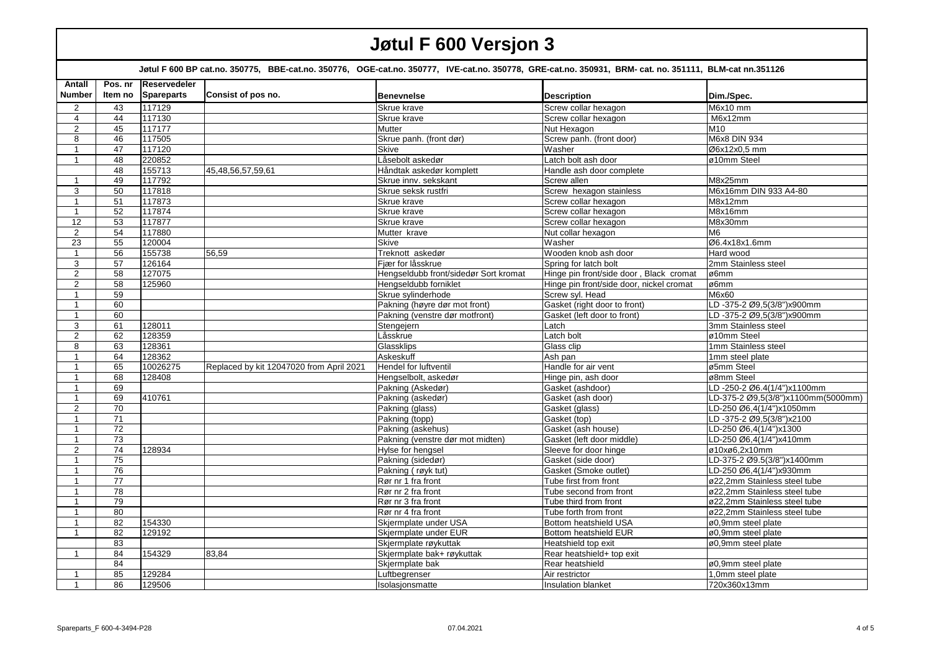| Jøtul F 600 BP cat.no. 350775, BBE-cat.no. 350776, OGE-cat.no. 350777, IVE-cat.no. 350778, GRE-cat.no. 350931, BRM- |  |  |  |  |  |
|---------------------------------------------------------------------------------------------------------------------|--|--|--|--|--|
|---------------------------------------------------------------------------------------------------------------------|--|--|--|--|--|

|                                | Jøtul F 600 BP cat.no. 350775, BBE-cat.no. 350776, OGE-cat.no. 350777, IVE-cat.no. 350778, GRE-cat.no. 350931, BRM- cat. no. 351111, BLM-cat nn.351126 |                                    |                                          |                                       |                                          |                                    |  |  |  |
|--------------------------------|--------------------------------------------------------------------------------------------------------------------------------------------------------|------------------------------------|------------------------------------------|---------------------------------------|------------------------------------------|------------------------------------|--|--|--|
| <b>Antall</b><br><b>Number</b> | Item no                                                                                                                                                | Pos. nr Reservedeler<br>Spareparts | Consist of pos no.                       | <b>Benevnelse</b>                     | <b>Description</b>                       | Dim./Spec.                         |  |  |  |
|                                | 43                                                                                                                                                     | 117129                             |                                          | <b>Skrue krave</b>                    | Screw collar hexagon                     | M6x10 mm                           |  |  |  |
|                                | 44                                                                                                                                                     | 117130                             |                                          | <b>Skrue krave</b>                    | Screw collar hexagon                     | M6x12mm                            |  |  |  |
|                                | 45                                                                                                                                                     | 117177                             |                                          | Mutter                                | Nut Hexagon                              | M <sub>10</sub>                    |  |  |  |
| 8                              | 46                                                                                                                                                     | 117505                             |                                          | Skrue panh. (front dør)               | Screw panh. (front door)                 | <b>M6x8 DIN 934</b>                |  |  |  |
|                                | 47                                                                                                                                                     | 117120                             |                                          | <b>Skive</b>                          | Washer                                   | Ø6x12x0,5 mm                       |  |  |  |
|                                | 48                                                                                                                                                     | 220852                             |                                          | Låsebolt askedør                      | Latch bolt ash door                      | ø10mm Steel                        |  |  |  |
|                                | 48                                                                                                                                                     | 155713                             | 45,48,56,57,59,61                        | Håndtak askedør komplett              | Handle ash door complete                 |                                    |  |  |  |
|                                | 49                                                                                                                                                     | 117792                             |                                          | Skrue innv. sekskant                  | Screw allen                              | M8x25mm                            |  |  |  |
| 3                              | 50                                                                                                                                                     | 117818                             |                                          | Skrue seksk rustfri                   | Screw hexagon stainless                  | M6x16mm DIN 933 A4-80              |  |  |  |
|                                | 51                                                                                                                                                     | 117873                             |                                          | Skrue krave                           | Screw collar hexagon                     | M8x12mm                            |  |  |  |
|                                | 52                                                                                                                                                     | 117874                             |                                          | <b>Skrue krave</b>                    | Screw collar hexagon                     | M8x16mm                            |  |  |  |
| 12                             | 53                                                                                                                                                     | 117877                             |                                          | <b>Skrue krave</b>                    | Screw collar hexagon                     | M8x30mm                            |  |  |  |
| $\overline{2}$                 | 54                                                                                                                                                     | 117880                             |                                          | Mutter krave                          | Nut collar hexagon                       | M <sub>6</sub>                     |  |  |  |
| 23                             | 55                                                                                                                                                     | 120004                             |                                          | <b>Skive</b>                          | Washer                                   | Ø6.4x18x1.6mm                      |  |  |  |
|                                | 56                                                                                                                                                     | 155738                             | 56,59                                    | Treknott askedør                      | Wooden knob ash door                     | Hard wood                          |  |  |  |
| 3                              | 57                                                                                                                                                     | 126164                             |                                          | Fjær for låsskrue                     | Spring for latch bolt                    | 2mm Stainless steel                |  |  |  |
|                                | 58                                                                                                                                                     | 127075                             |                                          | Hengseldubb front/sidedør Sort kromat | Hinge pin front/side door, Black cromat  | ø6mm                               |  |  |  |
| 2                              | 58                                                                                                                                                     | 125960                             |                                          | Hengseldubb forniklet                 | Hinge pin front/side door, nickel cromat | ø6mm                               |  |  |  |
|                                | 59                                                                                                                                                     |                                    |                                          | Skrue sylinderhode                    | Screw syl. Head                          | <b>M6x60</b>                       |  |  |  |
|                                | 60                                                                                                                                                     |                                    |                                          | Pakning (høyre dør mot front)         | Gasket (right door to front)             | LD-375-2 Ø9,5(3/8")x900mm          |  |  |  |
|                                | 60                                                                                                                                                     |                                    |                                          | Pakning (venstre dør motfront)        | Gasket (left door to front)              | LD-375-2 Ø9,5(3/8")x900mm          |  |  |  |
| 3                              | 61                                                                                                                                                     | 128011                             |                                          | Stengejern                            | Latch                                    | 3mm Stainless steel                |  |  |  |
|                                | 62                                                                                                                                                     | 128359                             |                                          | Låsskrue                              | Latch bolt                               | ø10mm Steel                        |  |  |  |
| 8                              | 63                                                                                                                                                     | 128361                             |                                          | Glassklips                            | Glass clip                               | 1mm Stainless steel                |  |  |  |
|                                | 64                                                                                                                                                     | 128362                             |                                          | Askeskuff                             | Ash pan                                  | 1mm steel plate                    |  |  |  |
|                                | 65                                                                                                                                                     | 10026275                           | Replaced by kit 12047020 from April 2021 | Hendel for luftventil                 | Handle for air vent                      | ø5mm Steel                         |  |  |  |
|                                | 68                                                                                                                                                     | 128408                             |                                          | Hengselbolt, askedør                  | Hinge pin, ash door                      | ø8mm Steel                         |  |  |  |
|                                | 69                                                                                                                                                     |                                    |                                          | Pakning (Askedør)                     | Gasket (ashdoor)                         | LD-250-2 Ø6.4(1/4")x1100mm         |  |  |  |
|                                | 69                                                                                                                                                     | 410761                             |                                          | Pakning (askedør)                     | Gasket (ash door)                        | LD-375-2 Ø9,5(3/8")x1100mm(5000mm) |  |  |  |
|                                | 70                                                                                                                                                     |                                    |                                          | Pakning (glass)                       | Gasket (glass)                           | LD-250 Ø6,4(1/4")x1050mm           |  |  |  |
|                                | 71                                                                                                                                                     |                                    |                                          | Pakning (topp)                        | Gasket (top)                             | LD-375-2 Ø9,5(3/8")x2100           |  |  |  |
|                                | 72                                                                                                                                                     |                                    |                                          | Pakning (askehus)                     | Gasket (ash house)                       | LD-250 Ø6,4(1/4")x1300             |  |  |  |
|                                | 73                                                                                                                                                     |                                    |                                          | Pakning (venstre dør mot midten)      | Gasket (left door middle)                | LD-250 Ø6,4(1/4")x410mm            |  |  |  |
|                                | 74                                                                                                                                                     | 128934                             |                                          | Hylse for hengsel                     | Sleeve for door hinge                    | ø10xø6,2x10mm                      |  |  |  |
|                                | 75                                                                                                                                                     |                                    |                                          | Pakning (sidedør)                     | Gasket (side door)                       | LD-375-2 Ø9.5(3/8")x1400mm         |  |  |  |
|                                | 76                                                                                                                                                     |                                    |                                          | Pakning (røyk tut)                    | Gasket (Smoke outlet)                    | LD-250 Ø6,4(1/4")x930mm            |  |  |  |
|                                | 77                                                                                                                                                     |                                    |                                          | Rør nr 1 fra front                    | Tube first from front                    | ø22,2mm Stainless steel tube       |  |  |  |
|                                | 78                                                                                                                                                     |                                    |                                          | Rør nr 2 fra front                    | Tube second from front                   | ø22,2mm Stainless steel tube       |  |  |  |
|                                | 79                                                                                                                                                     |                                    |                                          | Rør nr 3 fra front                    | Tube third from front                    | Ø22,2mm Stainless steel tube       |  |  |  |
|                                | 80                                                                                                                                                     |                                    |                                          | Rør nr 4 fra front                    | Tube forth from front                    | Ø22,2mm Stainless steel tube       |  |  |  |
|                                | 82                                                                                                                                                     | 154330                             |                                          | <b>Skjermplate under USA</b>          | <b>Bottom heatshield USA</b>             | Ø0,9mm steel plate                 |  |  |  |
|                                | 82                                                                                                                                                     | 129192                             |                                          | <b>Skjermplate under EUR</b>          | <b>Bottom heatshield EUR</b>             | Ø0,9mm steel plate                 |  |  |  |
|                                | 83                                                                                                                                                     |                                    |                                          | Skjermplate røykuttak                 | Heatshield top exit                      | ø0,9mm steel plate                 |  |  |  |
|                                | 84                                                                                                                                                     | 154329                             | 83,84                                    | Skjermplate bak+ røykuttak            | Rear heatshield+ top exit                |                                    |  |  |  |
|                                | 84                                                                                                                                                     |                                    |                                          | Skjermplate bak                       | Rear heatshield                          |                                    |  |  |  |
|                                |                                                                                                                                                        | 129284                             |                                          |                                       |                                          | ø0,9mm steel plate                 |  |  |  |
|                                | 85                                                                                                                                                     |                                    |                                          | Luftbegrenser                         | Air restrictor                           | 1,0mm steel plate                  |  |  |  |
|                                | 86                                                                                                                                                     | 129506                             |                                          | Isolasjonsmatte                       | <b>Insulation blanket</b>                | 720x360x13mm                       |  |  |  |